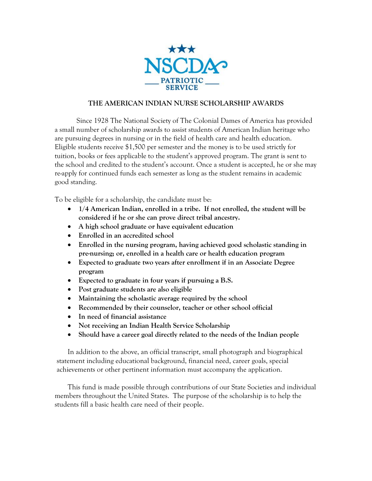

## **THE AMERICAN INDIAN NURSE SCHOLARSHIP AWARDS**

Since 1928 The National Society of The Colonial Dames of America has provided a small number of scholarship awards to assist students of American Indian heritage who are pursuing degrees in nursing or in the field of health care and health education. Eligible students receive \$1,500 per semester and the money is to be used strictly for tuition, books or fees applicable to the student's approved program. The grant is sent to the school and credited to the student's account. Once a student is accepted, he or she may re-apply for continued funds each semester as long as the student remains in academic good standing.

To be eligible for a scholarship, the candidate must be:

- **1/4 American Indian, enrolled in a tribe. If not enrolled, the student will be considered if he or she can prove direct tribal ancestry.**
- **A high school graduate or have equivalent education**
- **Enrolled in an accredited school**
- **Enrolled in the nursing program, having achieved good scholastic standing in pre-nursing; or, enrolled in a health care or health education program**
- **Expected to graduate two years after enrollment if in an Associate Degree program**
- **Expected to graduate in four years if pursuing a B.S.**
- **Post graduate students are also eligible**
- **Maintaining the scholastic average required by the school**
- **Recommended by their counselor, teacher or other school official**
- **In need of financial assistance**
- **Not receiving an Indian Health Service Scholarship**
- **Should have a career goal directly related to the needs of the Indian people**

In addition to the above, an official transcript, small photograph and biographical statement including educational background, financial need, career goals, special achievements or other pertinent information must accompany the application.

This fund is made possible through contributions of our State Societies and individual members throughout the United States. The purpose of the scholarship is to help the students fill a basic health care need of their people.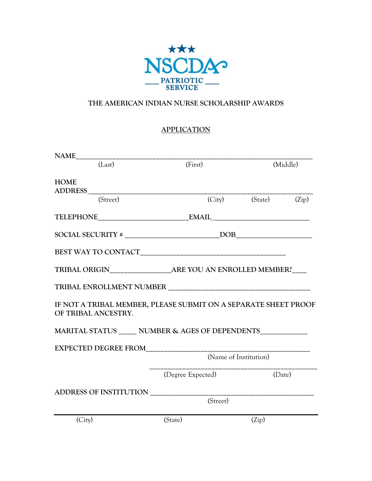

## **THE AMERICAN INDIAN NURSE SCHOLARSHIP AWARDS**

## **APPLICATION**

| (Last)                                                                                 | (First)               |          | (Middle) |       |  |
|----------------------------------------------------------------------------------------|-----------------------|----------|----------|-------|--|
| <b>HOME</b><br>ADDRESS________                                                         |                       |          |          |       |  |
| (Street)                                                                               |                       | (City)   | (State)  | (Zip) |  |
|                                                                                        |                       |          |          |       |  |
|                                                                                        |                       |          |          |       |  |
|                                                                                        |                       |          |          |       |  |
|                                                                                        |                       |          |          |       |  |
|                                                                                        |                       |          |          |       |  |
| IF NOT A TRIBAL MEMBER, PLEASE SUBMIT ON A SEPARATE SHEET PROOF<br>OF TRIBAL ANCESTRY. |                       |          |          |       |  |
| MARITAL STATUS NUMBER & AGES OF DEPENDENTS                                             |                       |          |          |       |  |
|                                                                                        |                       |          |          |       |  |
|                                                                                        | (Name of Institution) |          |          |       |  |
|                                                                                        | (Degree Expected)     |          | (Date)   |       |  |
| ADDRESS OF INSTITUTION                                                                 |                       |          |          |       |  |
|                                                                                        |                       | (Street) |          |       |  |
| (City)                                                                                 | (State)               |          | (Zip)    |       |  |